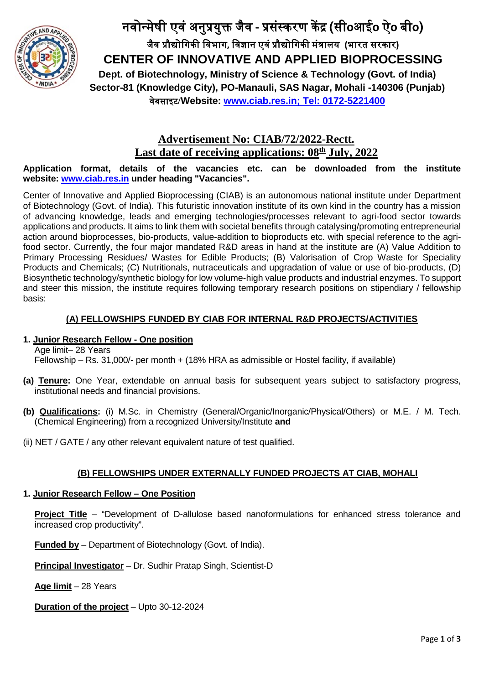

नवोन्मेषी एवं अनु�यु� जैव **-** �संस्करण क� � **(**सी**o**आई**o** ऐ**o** बी**o)** जैव �ौ�ोिगक� िवभाग**,** िवज्ञान एवं�ौ�ोिगक� मं�ालय **(**भारत सरकार**) CENTER OF INNOVATIVE AND APPLIED BIOPROCESSING Dept. of Biotechnology, Ministry of Science & Technology (Govt. of India) Sector-81 (Knowledge City), PO-Manauli, SAS Nagar, Mohali -140306 (Punjab)** वेबसाइट**/Website: [www.ciab.res.in;](http://www.ciab.res.in/) Tel: 0172-5221400**

# **Advertisement No: CIAB/72/2022-Rectt. Last date of receiving applications: 08<sup>th</sup> July, 2022**

**Application format, details of the vacancies etc. can be downloaded from the institute website: [www.ciab.res.in](http://www.ciab.res.in/) under heading "Vacancies".**

Center of Innovative and Applied Bioprocessing (CIAB) is an autonomous national institute under Department of Biotechnology (Govt. of India). This futuristic innovation institute of its own kind in the country has a mission of advancing knowledge, leads and emerging technologies/processes relevant to agri-food sector towards applications and products. It aims to link them with societal benefits through catalysing/promoting entrepreneurial action around bioprocesses, bio-products, value-addition to bioproducts etc. with special reference to the agrifood sector. Currently, the four major mandated R&D areas in hand at the institute are (A) Value Addition to Primary Processing Residues/ Wastes for Edible Products; (B) Valorisation of Crop Waste for Speciality Products and Chemicals; (C) Nutritionals, nutraceuticals and upgradation of value or use of bio-products, (D) Biosynthetic technology/synthetic biology for low volume-high value products and industrial enzymes. To support and steer this mission, the institute requires following temporary research positions on stipendiary / fellowship basis:

### **(A) FELLOWSHIPS FUNDED BY CIAB FOR INTERNAL R&D PROJECTS/ACTIVITIES**

### **1. Junior Research Fellow - One position**

Age limit– 28 Years

Fellowship – Rs. 31,000/- per month + (18% HRA as admissible or Hostel facility, if available)

- **(a) Tenure:** One Year, extendable on annual basis for subsequent years subject to satisfactory progress, institutional needs and financial provisions.
- **(b) Qualifications:** (i) M.Sc. in Chemistry (General/Organic/Inorganic/Physical/Others) or M.E. / M. Tech. (Chemical Engineering) from a recognized University/Institute **and**
- (ii) NET / GATE / any other relevant equivalent nature of test qualified.

## **(B) FELLOWSHIPS UNDER EXTERNALLY FUNDED PROJECTS AT CIAB, MOHALI**

### **1. Junior Research Fellow – One Position**

**Project Title** – "Development of D-allulose based nanoformulations for enhanced stress tolerance and increased crop productivity".

**Funded by** – Department of Biotechnology (Govt. of India).

**Principal Investigator** – Dr. Sudhir Pratap Singh, Scientist-D

**Age limit** – 28 Years

**Duration of the project** – Upto 30-12-2024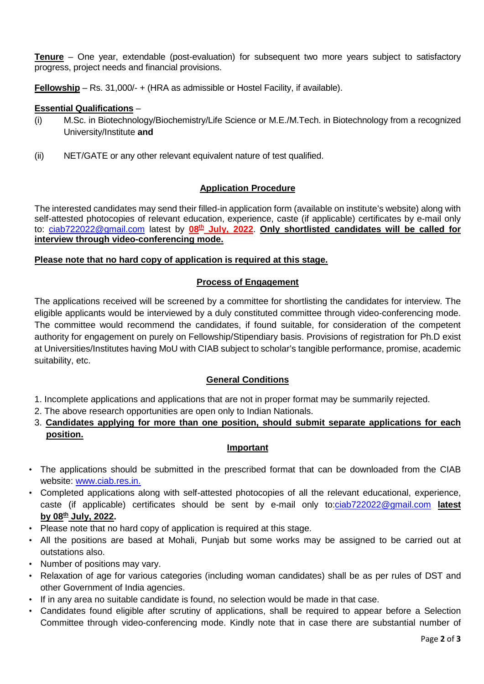**Tenure** – One year, extendable (post-evaluation) for subsequent two more years subject to satisfactory progress, project needs and financial provisions.

**Fellowship** – Rs. 31,000/- + (HRA as admissible or Hostel Facility, if available).

### **Essential Qualifications** –

- (i) M.Sc. in Biotechnology/Biochemistry/Life Science or M.E./M.Tech. in Biotechnology from a recognized University/Institute **and**
- (ii) NET/GATE or any other relevant equivalent nature of test qualified.

### **Application Procedure**

The interested candidates may send their filled-in application form (available on institute's website) along with self-attested photocopies of relevant education, experience, caste (if applicable) certificates by e-mail only to: [ciab722022@gmail.com](mailto:ciab722022@gmail.com) latest by 08<sup>th</sup> July, 2022. Only shortlisted candidates will be called for **interview through video-conferencing mode.**

### **Please note that no hard copy of application is required at this stage.**

#### **Process of Engagement**

The applications received will be screened by a committee for shortlisting the candidates for interview. The eligible applicants would be interviewed by a duly constituted committee through video-conferencing mode. The committee would recommend the candidates, if found suitable, for consideration of the competent authority for engagement on purely on Fellowship/Stipendiary basis. Provisions of registration for Ph.D exist at Universities/Institutes having MoU with CIAB subject to scholar's tangible performance, promise, academic suitability, etc.

### **General Conditions**

1. Incomplete applications and applications that are not in proper format may be summarily rejected.

- 2. The above research opportunities are open only to Indian Nationals.
- 3. **Candidates applying for more than one position, should submit separate applications for each position.**

### **Important**

- The applications should be submitted in the prescribed format that can be downloaded from the CIAB website: [www.ciab.res.in.](http://www.ciab.res.in/)
- Completed applications along with self-attested photocopies of all the relevant educational, experience, caste (if applicable) certificates should be sent by e-mail only to[:ciab722022@gmail.com](mailto:ciab722022@gmail.com) **latest by 08th July, 2022.**
- Please note that no hard copy of application is required at this stage.
- All the positions are based at Mohali, Punjab but some works may be assigned to be carried out at outstations also.
- Number of positions may vary.
- Relaxation of age for various categories (including woman candidates) shall be as per rules of DST and other Government of India agencies.
- If in any area no suitable candidate is found, no selection would be made in that case.
- Candidates found eligible after scrutiny of applications, shall be required to appear before a Selection Committee through video-conferencing mode. Kindly note that in case there are substantial number of